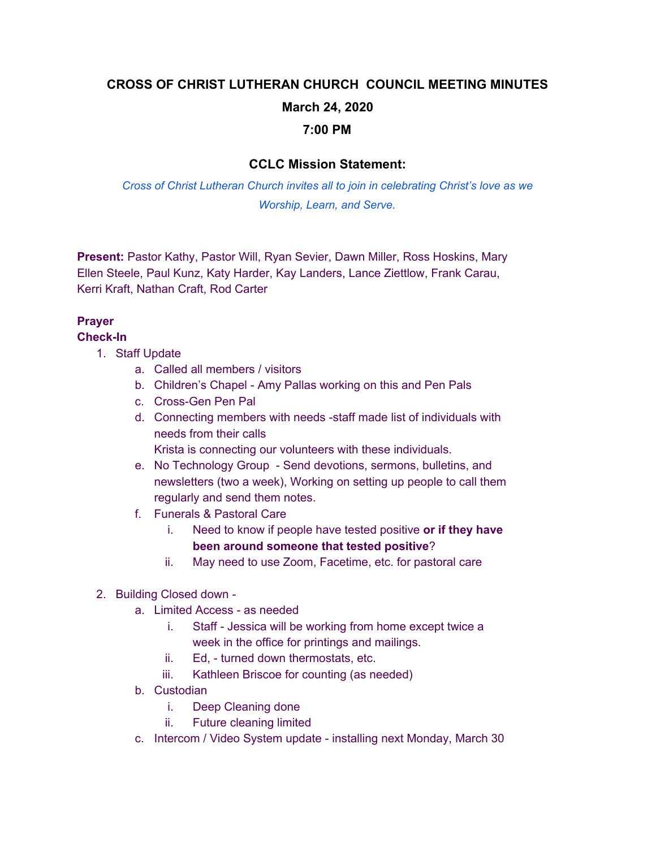# **CROSS OF CHRIST LUTHERAN CHURCH COUNCIL MEETING MINUTES March 24, 2020 7:00 PM**

### **CCLC Mission Statement:**

*Cross of Christ Lutheran Church invites all to join in celebrating Christ's love as we Worship, Learn, and Serve.*

**Present:** Pastor Kathy, Pastor Will, Ryan Sevier, Dawn Miller, Ross Hoskins, Mary Ellen Steele, Paul Kunz, Katy Harder, Kay Landers, Lance Ziettlow, Frank Carau, Kerri Kraft, Nathan Craft, Rod Carter

## **Prayer**

**Check-In**

- 1. Staff Update
	- a. Called all members / visitors
	- b. Children's Chapel Amy Pallas working on this and Pen Pals
	- c. Cross-Gen Pen Pal
	- d. Connecting members with needs -staff made list of individuals with needs from their calls

Krista is connecting our volunteers with these individuals.

- e. No Technology Group Send devotions, sermons, bulletins, and newsletters (two a week), Working on setting up people to call them regularly and send them notes.
- f. Funerals & Pastoral Care
	- i. Need to know if people have tested positive **or if they have been around someone that tested positive**?
	- ii. May need to use Zoom, Facetime, etc. for pastoral care
- 2. Building Closed down
	- a. Limited Access as needed
		- i. Staff Jessica will be working from home except twice a week in the office for printings and mailings.
		- ii. Ed, turned down thermostats, etc.
		- iii. Kathleen Briscoe for counting (as needed)
	- b. Custodian
		- i. Deep Cleaning done
		- ii. Future cleaning limited
	- c. Intercom / Video System update installing next Monday, March 30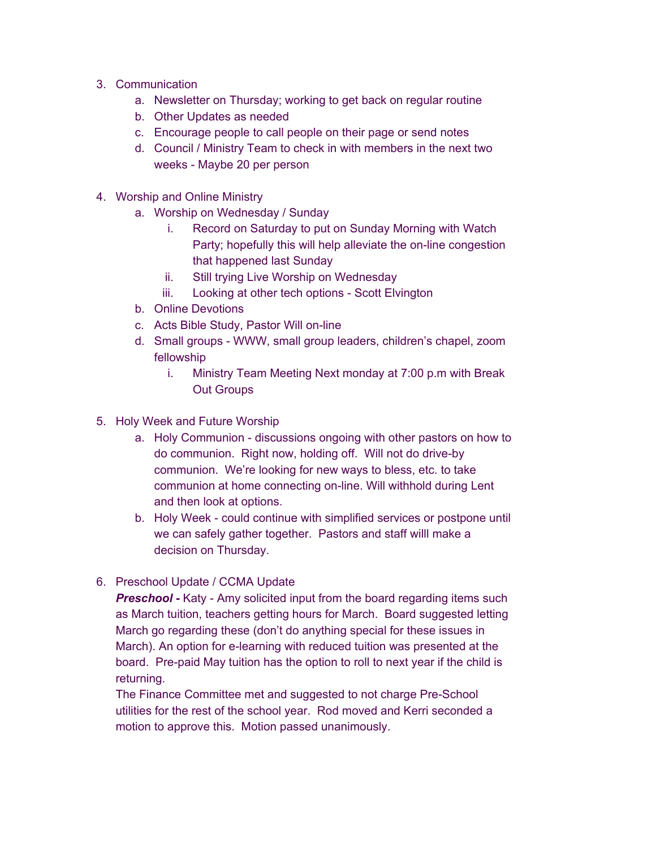- 3. Communication
	- a. Newsletter on Thursday; working to get back on regular routine
	- b. Other Updates as needed
	- c. Encourage people to call people on their page or send notes
	- d. Council / Ministry Team to check in with members in the next two weeks - Maybe 20 per person
- 4. Worship and Online Ministry
	- a. Worship on Wednesday / Sunday
		- i. Record on Saturday to put on Sunday Morning with Watch Party; hopefully this will help alleviate the on-line congestion that happened last Sunday
		- ii. Still trying Live Worship on Wednesday
		- iii. Looking at other tech options Scott Elvington
	- b. Online Devotions
	- c. Acts Bible Study, Pastor Will on-line
	- d. Small groups WWW, small group leaders, children's chapel, zoom fellowship
		- i. Ministry Team Meeting Next monday at 7:00 p.m with Break Out Groups
- 5. Holy Week and Future Worship
	- a. Holy Communion discussions ongoing with other pastors on how to do communion. Right now, holding off. Will not do drive-by communion. We're looking for new ways to bless, etc. to take communion at home connecting on-line. Will withhold during Lent and then look at options.
	- b. Holy Week could continue with simplified services or postpone until we can safely gather together. Pastors and staff willl make a decision on Thursday.
- 6. Preschool Update / CCMA Update

**Preschool** - Katy - Amy solicited input from the board regarding items such as March tuition, teachers getting hours for March. Board suggested letting March go regarding these (don't do anything special for these issues in March). An option for e-learning with reduced tuition was presented at the board. Pre-paid May tuition has the option to roll to next year if the child is returning.

The Finance Committee met and suggested to not charge Pre-School utilities for the rest of the school year. Rod moved and Kerri seconded a motion to approve this. Motion passed unanimously.